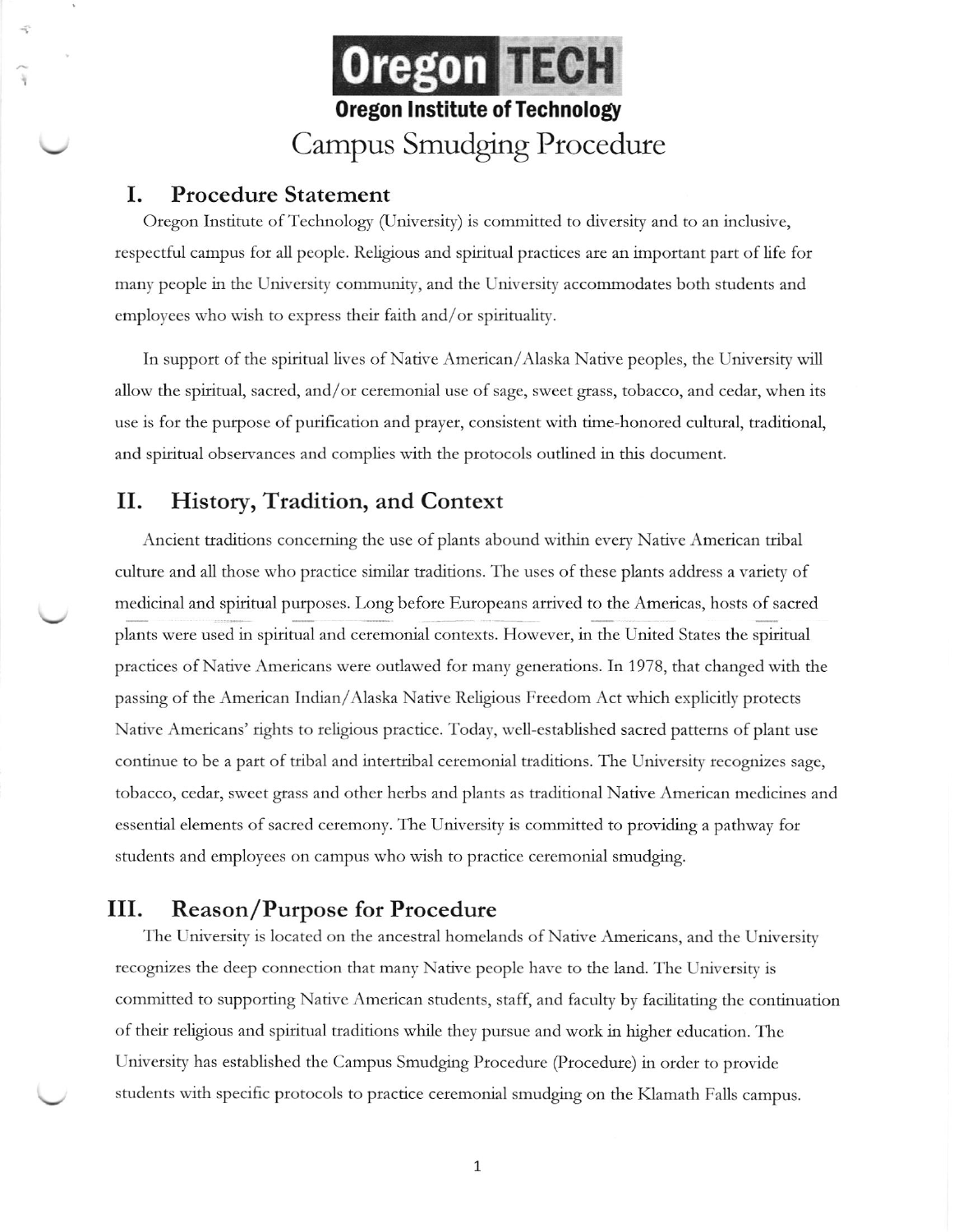

#### Ι. **Procedure Statement**

Oregon Institute of Technology (University) is committed to diversity and to an inclusive, respectful campus for all people. Religious and spiritual practices are an important part of life for many people in the University community, and the University accommodates both students and employees who wish to express their faith and/or spirituality.

In support of the spiritual lives of Native American/Alaska Native peoples, the University will allow the spiritual, sacred, and/or ceremonial use of sage, sweet grass, tobacco, and cedar, when its use is for the purpose of purification and prayer, consistent with time-honored cultural, traditional, and spiritual observances and complies with the protocols outlined in this document.

### II. History, Tradition, and Context

Ancient traditions concerning the use of plants abound within every Native American tribal culture and all those who practice similar traditions. The uses of these plants address a variety of medicinal and spiritual purposes. Long before Europeans arrived to the Americas, hosts of sacred plants were used in spiritual and ceremonial contexts. However, in the United States the spiritual practices of Native Americans were outlawed for many generations. In 1978, that changed with the passing of the American Indian/Alaska Native Religious Freedom Act which explicitly protects Native Americans' rights to religious practice. Today, well-established sacred patterns of plant use continue to be a part of tribal and intertribal ceremonial traditions. The University recognizes sage, tobacco, cedar, sweet grass and other herbs and plants as traditional Native American medicines and essential elements of sacred ceremony. The University is committed to providing a pathway for students and employees on campus who wish to practice ceremonial smudging.

### III. **Reason/Purpose for Procedure**

The University is located on the ancestral homelands of Native Americans, and the University recognizes the deep connection that many Native people have to the land. The University is committed to supporting Native American students, staff, and faculty by facilitating the continuation of their religious and spiritual traditions while they pursue and work in higher education. The University has established the Campus Smudging Procedure (Procedure) in order to provide students with specific protocols to practice ceremonial smudging on the Klamath Falls campus.

 $\mathbf 1$